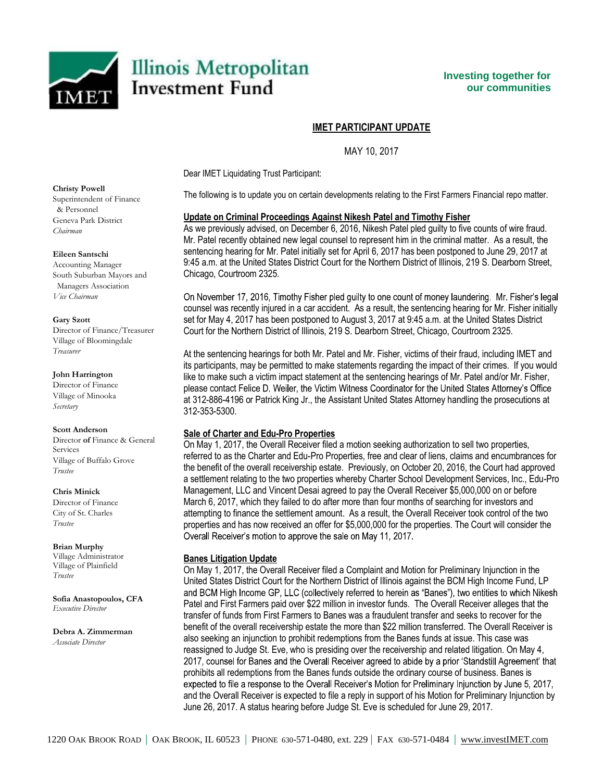

# **IMET PARTICIPANT UPDATE**

MAY 10, 2017

Dear IMET Liquidating Trust Participant:

The following is to update you on certain developments relating to the First Farmers Financial repo matter.

## **Update on Criminal Proceedings Against Nikesh Patel and Timothy Fisher**

As we previously advised, on December 6, 2016, Nikesh Patel pled guilty to five counts of wire fraud. Mr. Patel recently obtained new legal counsel to represent him in the criminal matter. As a result, the sentencing hearing for Mr. Patel initially set for April 6, 2017 has been postponed to June 29, 2017 at 9:45 a.m. at the United States District Court for the Northern District of Illinois, 219 S. Dearborn Street, Chicago, Courtroom 2325.

On November 17, 2016, Timothy Fisher pled guilty to one count of money laundering. Mr. Fisher's legal counsel was recently injured in a car accident. As a result, the sentencing hearing for Mr. Fisher initially set for May 4, 2017 has been postponed to August 3, 2017 at 9:45 a.m. at the United States District Court for the Northern District of Illinois, 219 S. Dearborn Street, Chicago, Courtroom 2325.

At the sentencing hearings for both Mr. Patel and Mr. Fisher, victims of their fraud, including IMET and its participants, may be permitted to make statements regarding the impact of their crimes. If you would like to make such a victim impact statement at the sentencing hearings of Mr. Patel and/or Mr. Fisher, please contact Felice D. Weiler, the Victim Witness Coordinator for the United States Attorney's Office at 312-886-4196 or Patrick King Jr., the Assistant United States Attorney handling the prosecutions at 312-353-5300.

## **Sale of Charter and Edu-Pro Properties**

On May 1, 2017, the Overall Receiver filed a motion seeking authorization to sell two properties, referred to as the Charter and Edu-Pro Properties, free and clear of liens, claims and encumbrances for the benefit of the overall receivership estate. Previously, on October 20, 2016, the Court had approved a settlement relating to the two properties whereby Charter School Development Services, Inc., Edu-Pro Management, LLC and Vincent Desai agreed to pay the Overall Receiver \$5,000,000 on or before March 6, 2017, which they failed to do after more than four months of searching for investors and attempting to finance the settlement amount. As a result, the Overall Receiver took control of the two properties and has now received an offer for \$5,000,000 for the properties. The Court will consider the Overall Receiver's motion to approve the sale on May 11, 2017.

### **Banes Litigation Update**

On May 1, 2017, the Overall Receiver filed a Complaint and Motion for Preliminary Injunction in the United States District Court for the Northern District of Illinois against the BCM High Income Fund, LP and BCM High Income GP, LLC (collectively referred to herein as "Banes"), two entities to which Nikesh Patel and First Farmers paid over \$22 million in investor funds. The Overall Receiver alleges that the transfer of funds from First Farmers to Banes was a fraudulent transfer and seeks to recover for the benefit of the overall receivership estate the more than \$22 million transferred. The Overall Receiver is also seeking an injunction to prohibit redemptions from the Banes funds at issue. This case was reassigned to Judge St. Eve, who is presiding over the receivership and related litigation. On May 4, 2017, counsel for Banes and the Overall Receiver agreed to abide by a prior 'Standstill Agreement' that prohibits all redemptions from the Banes funds outside the ordinary course of business. Banes is expected to file a response to the Overall Receiver's Motion for Preliminary Injunction by June 5, 2017, and the Overall Receiver is expected to file a reply in support of his Motion for Preliminary Injunction by June 26, 2017. A status hearing before Judge St. Eve is scheduled for June 29, 2017.

**Christy Powell**  Superintendent of Finance & Personnel Geneva Park District *Chairman* 

### **Eileen Santschi**

Accounting Manager South Suburban Mayors and Managers Association *Vice Chairman* 

#### **Gary Szott**

Director of Finance/Treasurer Village of Bloomingdale *Treasurer* 

### **John Harrington**

Director of Finance Village of Minooka *Secretary* 

#### **Scott Anderson**

Director **of** Finance & General Services Village of Buffalo Grove *Trustee* 

#### **Chris Minick**

Director of Finance City of St. Charles *Trustee* 

#### **Brian Murphy**

Village Administrator Village of Plainfield *Trustee* 

**Sofia Anastopoulos, CFA** *Executive Director*

**Debra A. Zimmerman**  *Associate Director*